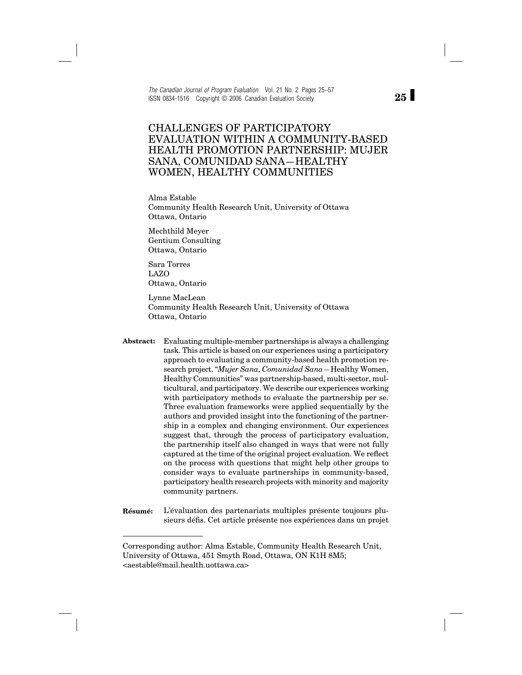*The Canadian Journal of Program Evaluation* Vol. 21 No. 2 Pages 25–57 ISSN 0834-1516 Copyright © 2006 Canadian Evaluation Society

## CHALLENGES OF PARTICIPATORY EVALUATION WITHIN A COMMUNITY-BASED HEALTH PROMOTION PARTNERSHIP: MUJER SANA, COMUNIDAD SANA—HEALTHY WOMEN, HEALTHY COMMUNITIES

Alma Estable Community Health Research Unit, University of Ottawa Ottawa, Ontario

Mechthild Meyer Gentium Consulting Ottawa, Ontario

Sara Torres LAZO Ottawa, Ontario

Lynne MacLean Community Health Research Unit, University of Ottawa Ottawa, Ontario

- **Abstract:** Evaluating multiple-member partnerships is always a challenging task. This article is based on our experiences using a participatory approach to evaluating a community-based health promotion research project. "*Mujer Sana, Comunidad Sana—*Healthy Women, Healthy Communities" was partnership-based, multi-sector, multicultural, and participatory. We describe our experiences working with participatory methods to evaluate the partnership per se. Three evaluation frameworks were applied sequentially by the authors and provided insight into the functioning of the partnership in a complex and changing environment. Our experiences suggest that, through the process of participatory evaluation, the partnership itself also changed in ways that were not fully captured at the time of the original project evaluation. We reflect on the process with questions that might help other groups to consider ways to evaluate partnerships in community-based, participatory health research projects with minority and majority community partners.
- **Résumé:** L'évaluation des partenariats multiples présente toujours plusieurs défis. Cet article présente nos expériences dans un projet

**25**

Corresponding author: Alma Estable, Community Health Research Unit, University of Ottawa, 451 Smyth Road, Ottawa, ON K1H 8M5; <aestable@mail.health.uottawa.ca>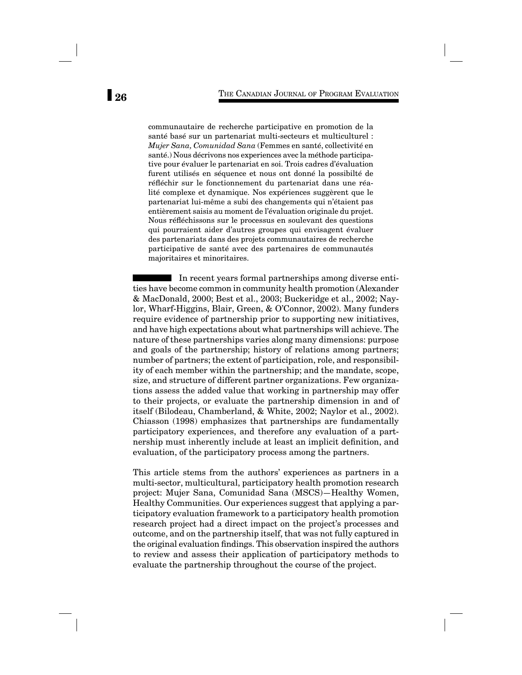communautaire de recherche participative en promotion de la santé basé sur un partenariat multi-secteurs et multiculturel : *Mujer Sana, Comunidad Sana* (Femmes en santé, collectivité en santé.) Nous décrivons nos experiences avec la méthode participative pour évaluer le partenariat en soi. Trois cadres d'évaluation furent utilisés en séquence et nous ont donné la possibilté de réfléchir sur le fonctionnement du partenariat dans une réalité complexe et dynamique. Nos expériences suggèrent que le partenariat lui-même a subi des changements qui n'étaient pas entièrement saisis au moment de l'évaluation originale du projet. Nous réfléchissons sur le processus en soulevant des questions qui pourraient aider d'autres groupes qui envisagent évaluer des partenariats dans des projets communautaires de recherche participative de santé avec des partenaires de communautés majoritaires et minoritaires.

In recent years formal partnerships among diverse entities have become common in community health promotion (Alexander & MacDonald, 2000; Best et al., 2003; Buckeridge et al., 2002; Naylor, Wharf-Higgins, Blair, Green, & O'Connor, 2002). Many funders require evidence of partnership prior to supporting new initiatives, and have high expectations about what partnerships will achieve. The nature of these partnerships varies along many dimensions: purpose and goals of the partnership; history of relations among partners; number of partners; the extent of participation, role, and responsibility of each member within the partnership; and the mandate, scope, size, and structure of different partner organizations. Few organizations assess the added value that working in partnership may offer to their projects, or evaluate the partnership dimension in and of itself (Bilodeau, Chamberland, & White, 2002; Naylor et al., 2002). Chiasson (1998) emphasizes that partnerships are fundamentally participatory experiences, and therefore any evaluation of a partnership must inherently include at least an implicit definition, and evaluation, of the participatory process among the partners.

This article stems from the authors' experiences as partners in a multi-sector, multicultural, participatory health promotion research project: Mujer Sana, Comunidad Sana (MSCS)—Healthy Women, Healthy Communities. Our experiences suggest that applying a participatory evaluation framework to a participatory health promotion research project had a direct impact on the project's processes and outcome, and on the partnership itself, that was not fully captured in the original evaluation findings. This observation inspired the authors to review and assess their application of participatory methods to evaluate the partnership throughout the course of the project.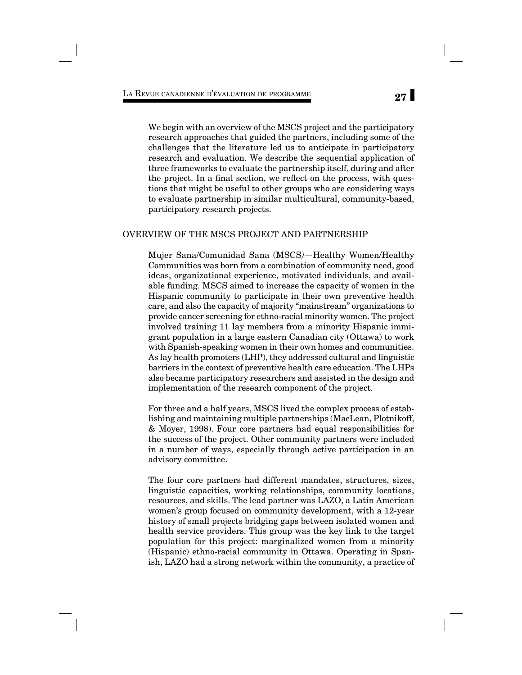We begin with an overview of the MSCS project and the participatory research approaches that guided the partners, including some of the challenges that the literature led us to anticipate in participatory research and evaluation. We describe the sequential application of three frameworks to evaluate the partnership itself, during and after the project. In a final section, we reflect on the process, with questions that might be useful to other groups who are considering ways to evaluate partnership in similar multicultural, community-based, participatory research projects.

#### OVERVIEW OF THE MSCS PROJECT AND PARTNERSHIP

Mujer Sana/Comunidad Sana (MSCS*)*—Healthy Women/Healthy Communities was born from a combination of community need, good ideas, organizational experience, motivated individuals, and available funding. MSCS aimed to increase the capacity of women in the Hispanic community to participate in their own preventive health care, and also the capacity of majority "mainstream" organizations to provide cancer screening for ethno-racial minority women. The project involved training 11 lay members from a minority Hispanic immigrant population in a large eastern Canadian city (Ottawa) to work with Spanish-speaking women in their own homes and communities. As lay health promoters (LHP), they addressed cultural and linguistic barriers in the context of preventive health care education. The LHPs also became participatory researchers and assisted in the design and implementation of the research component of the project.

For three and a half years, MSCS lived the complex process of establishing and maintaining multiple partnerships (MacLean, Plotnikoff, & Moyer, 1998). Four core partners had equal responsibilities for the success of the project. Other community partners were included in a number of ways, especially through active participation in an advisory committee.

The four core partners had different mandates, structures, sizes, linguistic capacities, working relationships, community locations, resources, and skills. The lead partner was LAZO, a Latin American women's group focused on community development, with a 12-year history of small projects bridging gaps between isolated women and health service providers. This group was the key link to the target population for this project: marginalized women from a minority (Hispanic) ethno-racial community in Ottawa. Operating in Spanish, LAZO had a strong network within the community, a practice of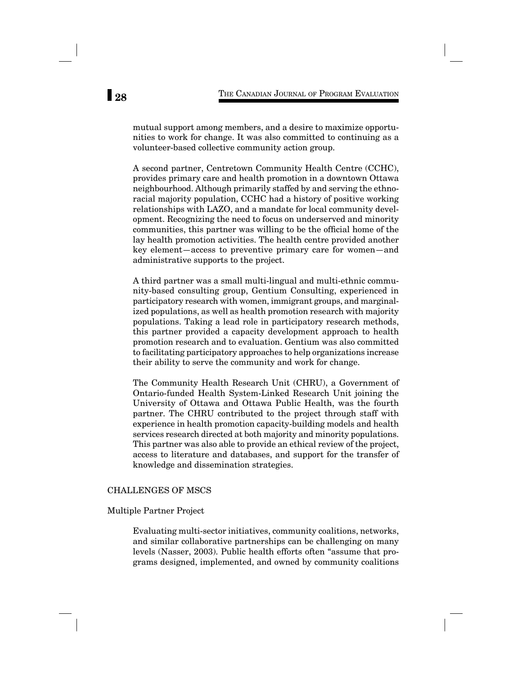mutual support among members, and a desire to maximize opportunities to work for change. It was also committed to continuing as a volunteer-based collective community action group.

A second partner, Centretown Community Health Centre (CCHC), provides primary care and health promotion in a downtown Ottawa neighbourhood. Although primarily staffed by and serving the ethnoracial majority population, CCHC had a history of positive working relationships with LAZO, and a mandate for local community development. Recognizing the need to focus on underserved and minority communities, this partner was willing to be the official home of the lay health promotion activities. The health centre provided another key element—access to preventive primary care for women—and administrative supports to the project.

A third partner was a small multi-lingual and multi-ethnic community-based consulting group, Gentium Consulting, experienced in participatory research with women, immigrant groups, and marginalized populations, as well as health promotion research with majority populations. Taking a lead role in participatory research methods, this partner provided a capacity development approach to health promotion research and to evaluation. Gentium was also committed to facilitating participatory approaches to help organizations increase their ability to serve the community and work for change.

The Community Health Research Unit (CHRU), a Government of Ontario-funded Health System-Linked Research Unit joining the University of Ottawa and Ottawa Public Health, was the fourth partner. The CHRU contributed to the project through staff with experience in health promotion capacity-building models and health services research directed at both majority and minority populations. This partner was also able to provide an ethical review of the project, access to literature and databases, and support for the transfer of knowledge and dissemination strategies.

#### CHALLENGES OF MSCS

#### Multiple Partner Project

Evaluating multi-sector initiatives, community coalitions, networks, and similar collaborative partnerships can be challenging on many levels (Nasser, 2003). Public health efforts often "assume that programs designed, implemented, and owned by community coalitions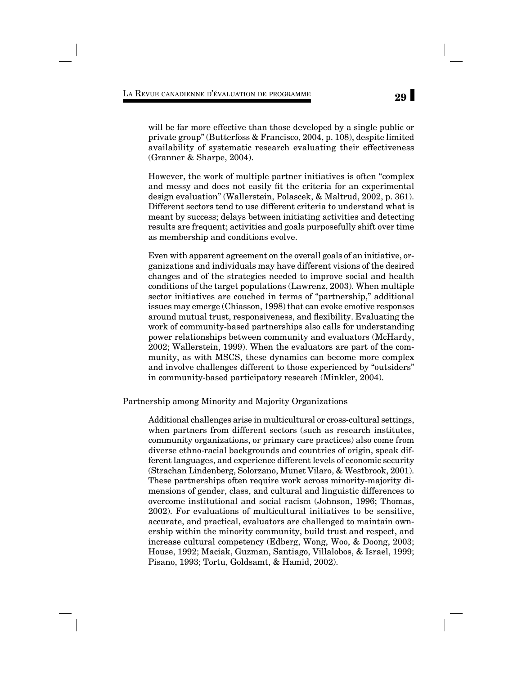will be far more effective than those developed by a single public or private group" (Butterfoss & Francisco, 2004, p. 108), despite limited availability of systematic research evaluating their effectiveness (Granner & Sharpe, 2004).

However, the work of multiple partner initiatives is often "complex and messy and does not easily fit the criteria for an experimental design evaluation" (Wallerstein, Polascek, & Maltrud, 2002, p. 361). Different sectors tend to use different criteria to understand what is meant by success; delays between initiating activities and detecting results are frequent; activities and goals purposefully shift over time as membership and conditions evolve.

Even with apparent agreement on the overall goals of an initiative, organizations and individuals may have different visions of the desired changes and of the strategies needed to improve social and health conditions of the target populations (Lawrenz, 2003). When multiple sector initiatives are couched in terms of "partnership," additional issues may emerge (Chiasson, 1998) that can evoke emotive responses around mutual trust, responsiveness, and flexibility. Evaluating the work of community-based partnerships also calls for understanding power relationships between community and evaluators (McHardy, 2002; Wallerstein, 1999). When the evaluators are part of the community, as with MSCS, these dynamics can become more complex and involve challenges different to those experienced by "outsiders" in community-based participatory research (Minkler, 2004).

Partnership among Minority and Majority Organizations

Additional challenges arise in multicultural or cross-cultural settings, when partners from different sectors (such as research institutes, community organizations, or primary care practices) also come from diverse ethno-racial backgrounds and countries of origin, speak different languages, and experience different levels of economic security (Strachan Lindenberg, Solorzano, Munet Vilaro, & Westbrook, 2001). These partnerships often require work across minority-majority dimensions of gender, class, and cultural and linguistic differences to overcome institutional and social racism (Johnson, 1996; Thomas, 2002). For evaluations of multicultural initiatives to be sensitive, accurate, and practical, evaluators are challenged to maintain ownership within the minority community, build trust and respect, and increase cultural competency (Edberg, Wong, Woo, & Doong, 2003; House, 1992; Maciak, Guzman, Santiago, Villalobos, & Israel, 1999; Pisano, 1993; Tortu, Goldsamt, & Hamid, 2002).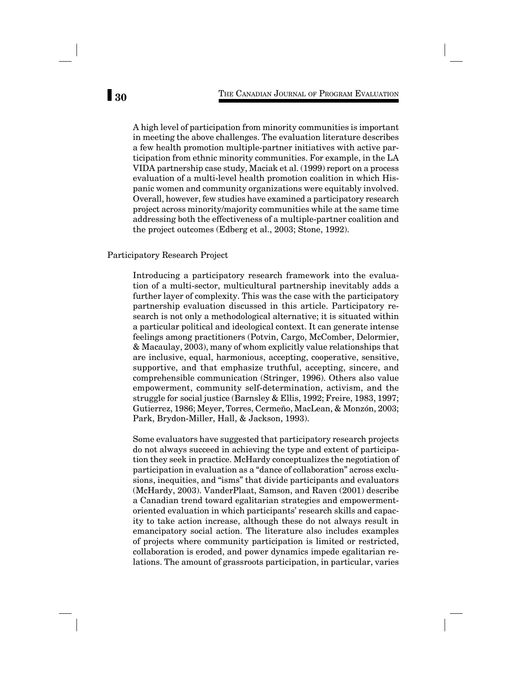A high level of participation from minority communities is important in meeting the above challenges. The evaluation literature describes a few health promotion multiple-partner initiatives with active participation from ethnic minority communities. For example, in the LA VIDA partnership case study, Maciak et al. (1999) report on a process evaluation of a multi-level health promotion coalition in which Hispanic women and community organizations were equitably involved. Overall, however, few studies have examined a participatory research project across minority/majority communities while at the same time addressing both the effectiveness of a multiple-partner coalition and the project outcomes (Edberg et al., 2003; Stone, 1992).

#### Participatory Research Project

Introducing a participatory research framework into the evaluation of a multi-sector, multicultural partnership inevitably adds a further layer of complexity. This was the case with the participatory partnership evaluation discussed in this article. Participatory research is not only a methodological alternative; it is situated within a particular political and ideological context. It can generate intense feelings among practitioners (Potvin, Cargo, McComber, Delormier, & Macaulay, 2003), many of whom explicitly value relationships that are inclusive, equal, harmonious, accepting, cooperative, sensitive, supportive, and that emphasize truthful, accepting, sincere, and comprehensible communication (Stringer, 1996). Others also value empowerment, community self-determination, activism, and the struggle for social justice (Barnsley & Ellis, 1992; Freire, 1983, 1997; Gutierrez, 1986; Meyer, Torres, Cermeño, MacLean, & Monzón, 2003; Park, Brydon-Miller, Hall, & Jackson, 1993).

Some evaluators have suggested that participatory research projects do not always succeed in achieving the type and extent of participation they seek in practice. McHardy conceptualizes the negotiation of participation in evaluation as a "dance of collaboration" across exclusions, inequities, and "isms" that divide participants and evaluators (McHardy, 2003). VanderPlaat, Samson, and Raven (2001) describe a Canadian trend toward egalitarian strategies and empowermentoriented evaluation in which participants' research skills and capacity to take action increase, although these do not always result in emancipatory social action. The literature also includes examples of projects where community participation is limited or restricted, collaboration is eroded, and power dynamics impede egalitarian relations. The amount of grassroots participation, in particular, varies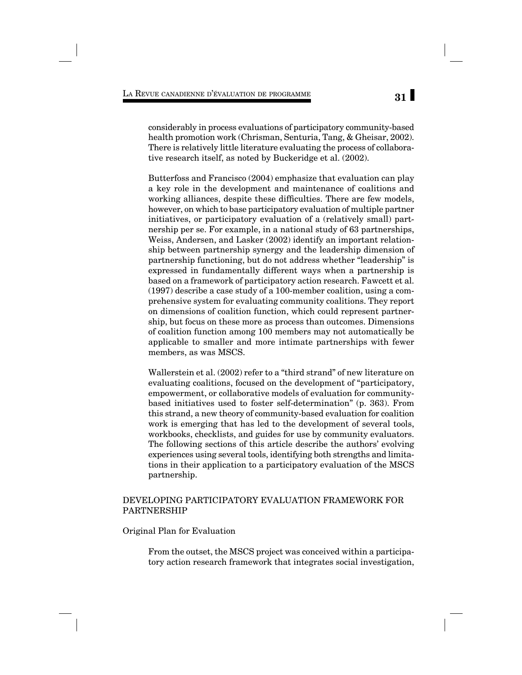considerably in process evaluations of participatory community-based health promotion work (Chrisman, Senturia, Tang, & Gheisar, 2002). There is relatively little literature evaluating the process of collaborative research itself, as noted by Buckeridge et al. (2002).

Butterfoss and Francisco (2004) emphasize that evaluation can play a key role in the development and maintenance of coalitions and working alliances, despite these difficulties. There are few models, however, on which to base participatory evaluation of multiple partner initiatives, or participatory evaluation of a (relatively small) partnership per se. For example, in a national study of 63 partnerships, Weiss, Andersen, and Lasker (2002) identify an important relationship between partnership synergy and the leadership dimension of partnership functioning, but do not address whether "leadership" is expressed in fundamentally different ways when a partnership is based on a framework of participatory action research. Fawcett et al. (1997) describe a case study of a 100-member coalition, using a comprehensive system for evaluating community coalitions. They report on dimensions of coalition function, which could represent partnership, but focus on these more as process than outcomes. Dimensions of coalition function among 100 members may not automatically be applicable to smaller and more intimate partnerships with fewer members, as was MSCS.

Wallerstein et al. (2002) refer to a "third strand" of new literature on evaluating coalitions, focused on the development of "participatory, empowerment, or collaborative models of evaluation for communitybased initiatives used to foster self-determination" (p. 363). From this strand, a new theory of community-based evaluation for coalition work is emerging that has led to the development of several tools, workbooks, checklists, and guides for use by community evaluators. The following sections of this article describe the authors' evolving experiences using several tools, identifying both strengths and limitations in their application to a participatory evaluation of the MSCS partnership.

#### DEVELOPING PARTICIPATORY EVALUATION FRAMEWORK FOR PARTNERSHIP

Original Plan for Evaluation

From the outset, the MSCS project was conceived within a participatory action research framework that integrates social investigation,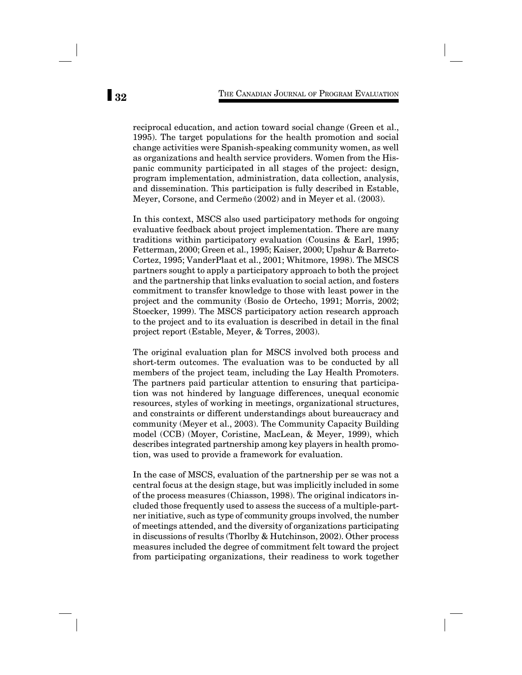reciprocal education, and action toward social change (Green et al., 1995). The target populations for the health promotion and social change activities were Spanish-speaking community women, as well as organizations and health service providers. Women from the Hispanic community participated in all stages of the project: design, program implementation, administration, data collection, analysis, and dissemination. This participation is fully described in Estable, Meyer, Corsone, and Cermeño (2002) and in Meyer et al. (2003).

In this context, MSCS also used participatory methods for ongoing evaluative feedback about project implementation. There are many traditions within participatory evaluation (Cousins & Earl, 1995; Fetterman, 2000; Green et al., 1995; Kaiser, 2000; Upshur & Barreto-Cortez, 1995; VanderPlaat et al., 2001; Whitmore, 1998). The MSCS partners sought to apply a participatory approach to both the project and the partnership that links evaluation to social action, and fosters commitment to transfer knowledge to those with least power in the project and the community (Bosio de Ortecho, 1991; Morris, 2002; Stoecker, 1999). The MSCS participatory action research approach to the project and to its evaluation is described in detail in the final project report (Estable, Meyer, & Torres, 2003).

The original evaluation plan for MSCS involved both process and short-term outcomes. The evaluation was to be conducted by all members of the project team, including the Lay Health Promoters. The partners paid particular attention to ensuring that participation was not hindered by language differences, unequal economic resources, styles of working in meetings, organizational structures, and constraints or different understandings about bureaucracy and community (Meyer et al., 2003). The Community Capacity Building model (CCB) (Moyer, Coristine, MacLean, & Meyer, 1999), which describes integrated partnership among key players in health promotion, was used to provide a framework for evaluation.

In the case of MSCS, evaluation of the partnership per se was not a central focus at the design stage, but was implicitly included in some of the process measures (Chiasson, 1998). The original indicators included those frequently used to assess the success of a multiple-partner initiative, such as type of community groups involved, the number of meetings attended, and the diversity of organizations participating in discussions of results (Thorlby & Hutchinson, 2002). Other process measures included the degree of commitment felt toward the project from participating organizations, their readiness to work together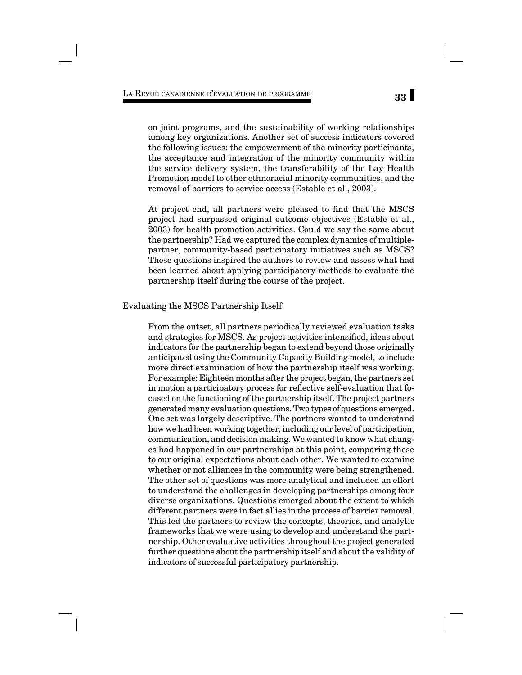on joint programs, and the sustainability of working relationships among key organizations. Another set of success indicators covered the following issues: the empowerment of the minority participants, the acceptance and integration of the minority community within the service delivery system, the transferability of the Lay Health Promotion model to other ethnoracial minority communities, and the removal of barriers to service access (Estable et al., 2003).

At project end, all partners were pleased to find that the MSCS project had surpassed original outcome objectives (Estable et al., 2003) for health promotion activities. Could we say the same about the partnership? Had we captured the complex dynamics of multiplepartner, community-based participatory initiatives such as MSCS? These questions inspired the authors to review and assess what had been learned about applying participatory methods to evaluate the partnership itself during the course of the project.

#### Evaluating the MSCS Partnership Itself

From the outset, all partners periodically reviewed evaluation tasks and strategies for MSCS. As project activities intensified, ideas about indicators for the partnership began to extend beyond those originally anticipated using the Community Capacity Building model, to include more direct examination of how the partnership itself was working. For example: Eighteen months after the project began, the partners set in motion a participatory process for reflective self-evaluation that focused on the functioning of the partnership itself. The project partners generated many evaluation questions. Two types of questions emerged. One set was largely descriptive. The partners wanted to understand how we had been working together, including our level of participation, communication, and decision making. We wanted to know what changes had happened in our partnerships at this point, comparing these to our original expectations about each other. We wanted to examine whether or not alliances in the community were being strengthened. The other set of questions was more analytical and included an effort to understand the challenges in developing partnerships among four diverse organizations. Questions emerged about the extent to which different partners were in fact allies in the process of barrier removal. This led the partners to review the concepts, theories, and analytic frameworks that we were using to develop and understand the partnership. Other evaluative activities throughout the project generated further questions about the partnership itself and about the validity of indicators of successful participatory partnership.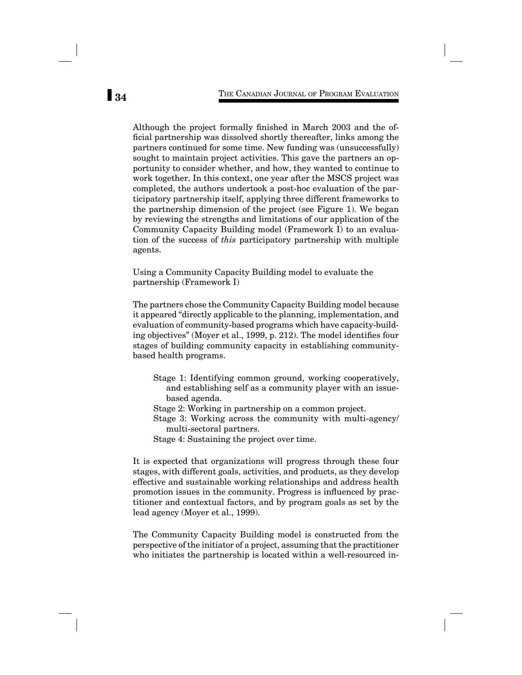Although the project formally finished in March 2003 and the official partnership was dissolved shortly thereafter, links among the partners continued for some time. New funding was (unsuccessfully) sought to maintain project activities. This gave the partners an opportunity to consider whether, and how, they wanted to continue to work together. In this context, one year after the MSCS project was completed, the authors undertook a post-hoc evaluation of the participatory partnership itself, applying three different frameworks to the partnership dimension of the project (see Figure 1). We began by reviewing the strengths and limitations of our application of the Community Capacity Building model (Framework I) to an evaluation of the success of *this* participatory partnership with multiple agents.

Using a Community Capacity Building model to evaluate the partnership (Framework I)

The partners chose the Community Capacity Building model because it appeared "directly applicable to the planning, implementation, and evaluation of community-based programs which have capacity-building objectives" (Moyer et al., 1999, p. 212). The model identifies four stages of building community capacity in establishing communitybased health programs.

- Stage 1: Identifying common ground, working cooperatively, and establishing self as a community player with an issuebased agenda.
- Stage 2: Working in partnership on a common project.
- Stage 3: Working across the community with multi-agency/ multi-sectoral partners.
- Stage 4: Sustaining the project over time.

It is expected that organizations will progress through these four stages, with different goals, activities, and products, as they develop effective and sustainable working relationships and address health promotion issues in the community. Progress is influenced by practitioner and contextual factors, and by program goals as set by the lead agency (Moyer et al., 1999).

The Community Capacity Building model is constructed from the perspective of the initiator of a project, assuming that the practitioner who initiates the partnership is located within a well-resourced in-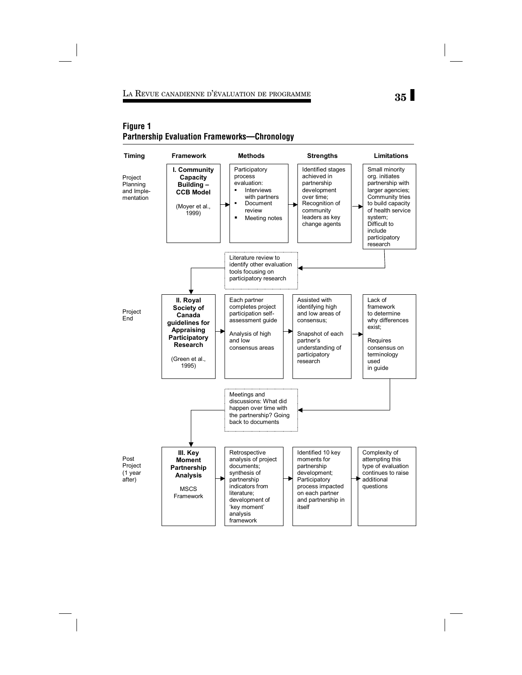## **35** LA REVUE CANADIENNE D'ÉVALUATION DE PROGRAMME

## **Figure 1 Partnership Evaluation Frameworks—Chronology**

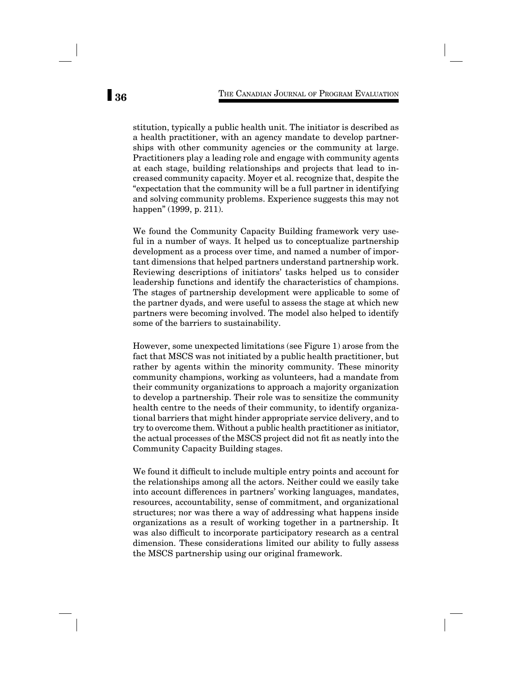stitution, typically a public health unit. The initiator is described as a health practitioner, with an agency mandate to develop partnerships with other community agencies or the community at large. Practitioners play a leading role and engage with community agents at each stage, building relationships and projects that lead to increased community capacity. Moyer et al. recognize that, despite the "expectation that the community will be a full partner in identifying and solving community problems. Experience suggests this may not happen" (1999, p. 211).

We found the Community Capacity Building framework very useful in a number of ways. It helped us to conceptualize partnership development as a process over time, and named a number of important dimensions that helped partners understand partnership work. Reviewing descriptions of initiators' tasks helped us to consider leadership functions and identify the characteristics of champions. The stages of partnership development were applicable to some of the partner dyads, and were useful to assess the stage at which new partners were becoming involved. The model also helped to identify some of the barriers to sustainability.

However, some unexpected limitations (see Figure 1) arose from the fact that MSCS was not initiated by a public health practitioner, but rather by agents within the minority community. These minority community champions, working as volunteers, had a mandate from their community organizations to approach a majority organization to develop a partnership. Their role was to sensitize the community health centre to the needs of their community, to identify organizational barriers that might hinder appropriate service delivery, and to try to overcome them. Without a public health practitioner as initiator, the actual processes of the MSCS project did not fit as neatly into the Community Capacity Building stages.

We found it difficult to include multiple entry points and account for the relationships among all the actors. Neither could we easily take into account differences in partners' working languages, mandates, resources, accountability, sense of commitment, and organizational structures; nor was there a way of addressing what happens inside organizations as a result of working together in a partnership. It was also difficult to incorporate participatory research as a central dimension. These considerations limited our ability to fully assess the MSCS partnership using our original framework.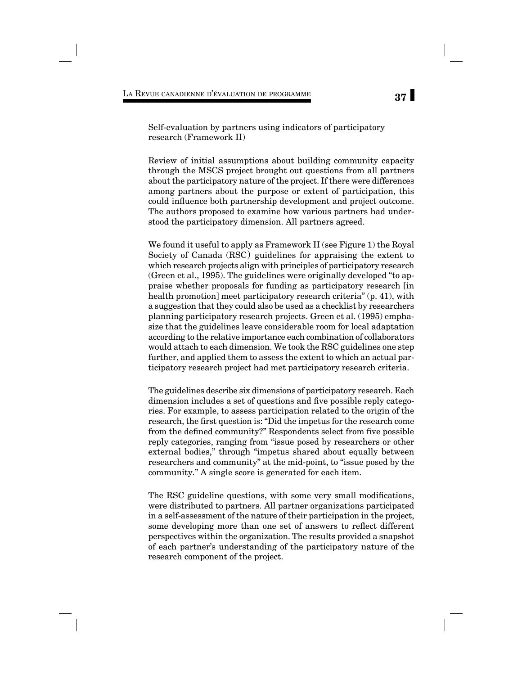Self-evaluation by partners using indicators of participatory research (Framework II)

Review of initial assumptions about building community capacity through the MSCS project brought out questions from all partners about the participatory nature of the project. If there were differences among partners about the purpose or extent of participation, this could influence both partnership development and project outcome. The authors proposed to examine how various partners had understood the participatory dimension. All partners agreed.

We found it useful to apply as Framework II (see Figure 1) the Royal Society of Canada (RSC) guidelines for appraising the extent to which research projects align with principles of participatory research (Green et al., 1995). The guidelines were originally developed "to appraise whether proposals for funding as participatory research [in health promotion] meet participatory research criteria" (p. 41), with a suggestion that they could also be used as a checklist by researchers planning participatory research projects. Green et al. (1995) emphasize that the guidelines leave considerable room for local adaptation according to the relative importance each combination of collaborators would attach to each dimension. We took the RSC guidelines one step further, and applied them to assess the extent to which an actual participatory research project had met participatory research criteria.

The guidelines describe six dimensions of participatory research. Each dimension includes a set of questions and five possible reply categories. For example, to assess participation related to the origin of the research, the first question is: "Did the impetus for the research come from the defined community?" Respondents select from five possible reply categories, ranging from "issue posed by researchers or other external bodies," through "impetus shared about equally between researchers and community" at the mid-point, to "issue posed by the community." A single score is generated for each item.

The RSC guideline questions, with some very small modifications, were distributed to partners. All partner organizations participated in a self-assessment of the nature of their participation in the project, some developing more than one set of answers to reflect different perspectives within the organization. The results provided a snapshot of each partner's understanding of the participatory nature of the research component of the project.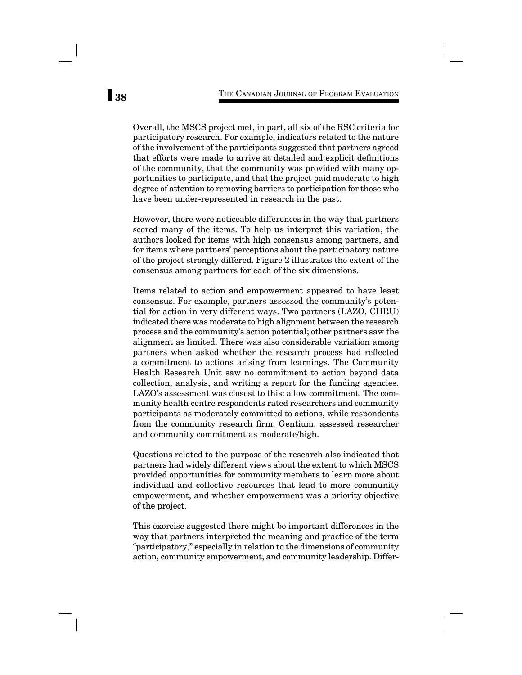Overall, the MSCS project met, in part, all six of the RSC criteria for participatory research. For example, indicators related to the nature of the involvement of the participants suggested that partners agreed that efforts were made to arrive at detailed and explicit definitions of the community, that the community was provided with many opportunities to participate, and that the project paid moderate to high degree of attention to removing barriers to participation for those who have been under-represented in research in the past.

However, there were noticeable differences in the way that partners scored many of the items. To help us interpret this variation, the authors looked for items with high consensus among partners, and for items where partners' perceptions about the participatory nature of the project strongly differed. Figure 2 illustrates the extent of the consensus among partners for each of the six dimensions.

Items related to action and empowerment appeared to have least consensus. For example, partners assessed the community's potential for action in very different ways. Two partners (LAZO, CHRU) indicated there was moderate to high alignment between the research process and the community's action potential; other partners saw the alignment as limited. There was also considerable variation among partners when asked whether the research process had reflected a commitment to actions arising from learnings. The Community Health Research Unit saw no commitment to action beyond data collection, analysis, and writing a report for the funding agencies. LAZO's assessment was closest to this: a low commitment. The community health centre respondents rated researchers and community participants as moderately committed to actions, while respondents from the community research firm, Gentium, assessed researcher and community commitment as moderate/high.

Questions related to the purpose of the research also indicated that partners had widely different views about the extent to which MSCS provided opportunities for community members to learn more about individual and collective resources that lead to more community empowerment, and whether empowerment was a priority objective of the project.

This exercise suggested there might be important differences in the way that partners interpreted the meaning and practice of the term "participatory," especially in relation to the dimensions of community action, community empowerment, and community leadership. Differ-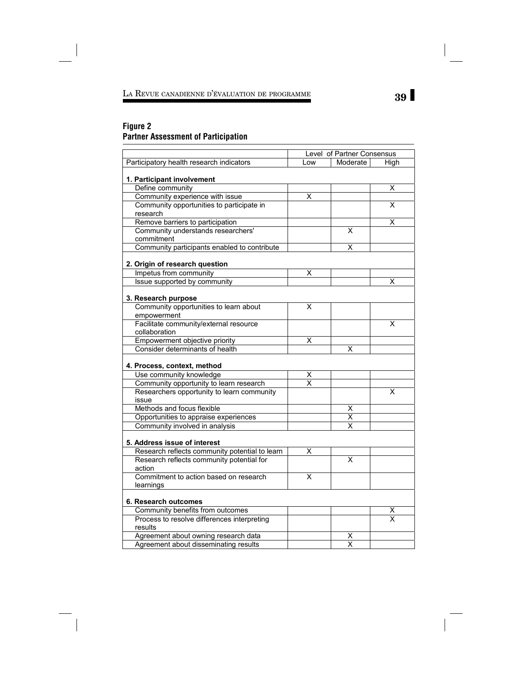# **39** LA REVUE CANADIENNE D'ÉVALUATION DE PROGRAMME

## **Figure 2 Partner Assessment of Participation**

 $\overline{\phantom{a}}$ 

|                                                        | Level of Partner Consensus |                              |                         |
|--------------------------------------------------------|----------------------------|------------------------------|-------------------------|
| Participatory health research indicators               | Low                        | Moderate                     | High                    |
|                                                        |                            |                              |                         |
| 1. Participant involvement                             |                            |                              |                         |
| Define community                                       |                            |                              | х                       |
| Community experience with issue                        | Χ                          |                              |                         |
| Community opportunities to participate in              |                            |                              | X                       |
| research                                               |                            |                              |                         |
| Remove barriers to participation                       |                            |                              | х                       |
| Community understands researchers'                     |                            | х                            |                         |
| commitment                                             |                            |                              |                         |
| Community participants enabled to contribute           |                            | Χ                            |                         |
|                                                        |                            |                              |                         |
| 2. Origin of research question                         |                            |                              |                         |
| Impetus from community                                 | X                          |                              |                         |
| Issue supported by community                           |                            |                              | x                       |
|                                                        |                            |                              |                         |
| 3. Research purpose                                    |                            |                              |                         |
| Community opportunities to learn about                 | X                          |                              |                         |
| empowerment                                            |                            |                              |                         |
| Facilitate community/external resource                 |                            |                              | $\overline{\mathsf{x}}$ |
| collaboration                                          |                            |                              |                         |
| Empowerment objective priority                         | x                          |                              |                         |
| Consider determinants of health                        |                            | х                            |                         |
|                                                        |                            |                              |                         |
| 4. Process, context, method                            |                            |                              |                         |
| Use community knowledge                                | X                          |                              |                         |
| Community opportunity to learn research                | $\overline{\mathsf{x}}$    |                              |                         |
| Researchers opportunity to learn community             |                            |                              | $\overline{\mathsf{x}}$ |
| issue                                                  |                            |                              |                         |
| Methods and focus flexible                             |                            | х                            |                         |
| Opportunities to appraise experiences                  |                            | Χ                            |                         |
| Community involved in analysis                         |                            | X                            |                         |
|                                                        |                            |                              |                         |
| 5. Address issue of interest                           |                            |                              |                         |
| Research reflects community potential to learn         | X                          |                              |                         |
| Research reflects community potential for              |                            | $\overline{\mathsf{x}}$      |                         |
| action                                                 |                            |                              |                         |
| Commitment to action based on research                 | X                          |                              |                         |
| learnings                                              |                            |                              |                         |
|                                                        |                            |                              |                         |
| 6. Research outcomes                                   |                            |                              |                         |
| Community benefits from outcomes                       |                            |                              | $\frac{x}{x}$           |
| Process to resolve differences interpreting<br>results |                            |                              |                         |
|                                                        |                            |                              |                         |
| Agreement about owning research data                   |                            | X<br>$\overline{\mathsf{x}}$ |                         |
| Agreement about disseminating results                  |                            |                              |                         |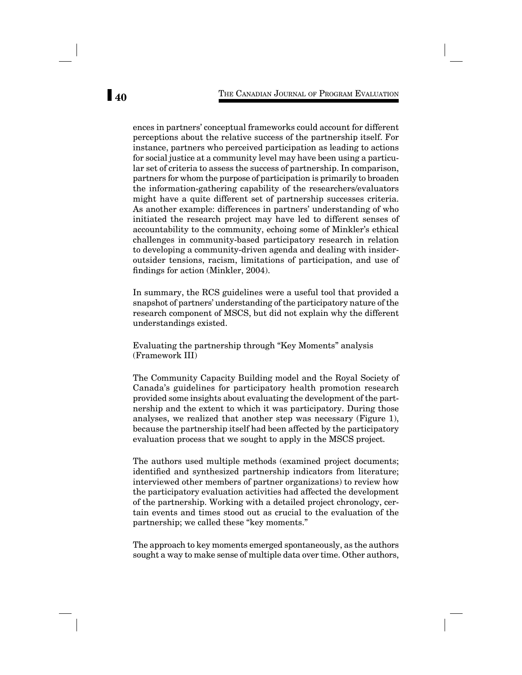ences in partners' conceptual frameworks could account for different perceptions about the relative success of the partnership itself. For instance, partners who perceived participation as leading to actions for social justice at a community level may have been using a particular set of criteria to assess the success of partnership. In comparison, partners for whom the purpose of participation is primarily to broaden the information-gathering capability of the researchers/evaluators might have a quite different set of partnership successes criteria. As another example: differences in partners' understanding of who initiated the research project may have led to different senses of accountability to the community, echoing some of Minkler's ethical challenges in community-based participatory research in relation to developing a community-driven agenda and dealing with insideroutsider tensions, racism, limitations of participation, and use of findings for action (Minkler, 2004).

In summary, the RCS guidelines were a useful tool that provided a snapshot of partners' understanding of the participatory nature of the research component of MSCS, but did not explain why the different understandings existed.

Evaluating the partnership through "Key Moments" analysis (Framework III)

The Community Capacity Building model and the Royal Society of Canada's guidelines for participatory health promotion research provided some insights about evaluating the development of the partnership and the extent to which it was participatory. During those analyses, we realized that another step was necessary (Figure 1), because the partnership itself had been affected by the participatory evaluation process that we sought to apply in the MSCS project*.* 

The authors used multiple methods (examined project documents; identified and synthesized partnership indicators from literature; interviewed other members of partner organizations) to review how the participatory evaluation activities had affected the development of the partnership. Working with a detailed project chronology, certain events and times stood out as crucial to the evaluation of the partnership; we called these "key moments."

The approach to key moments emerged spontaneously, as the authors sought a way to make sense of multiple data over time. Other authors,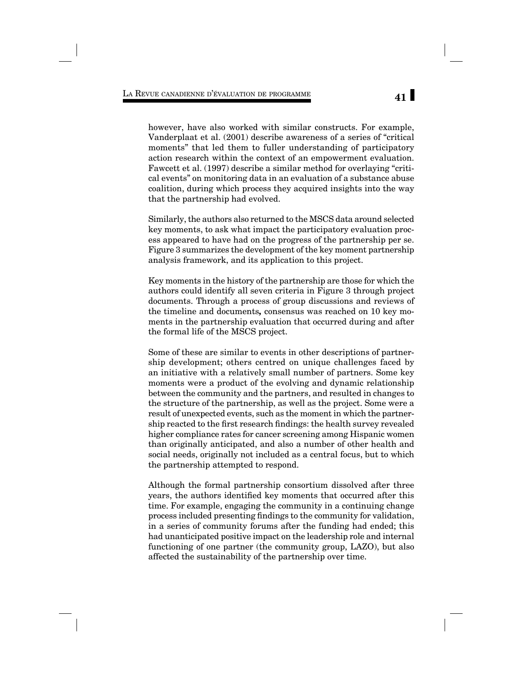however, have also worked with similar constructs. For example, Vanderplaat et al. (2001) describe awareness of a series of "critical moments" that led them to fuller understanding of participatory action research within the context of an empowerment evaluation. Fawcett et al. (1997) describe a similar method for overlaying "critical events" on monitoring data in an evaluation of a substance abuse coalition, during which process they acquired insights into the way that the partnership had evolved.

Similarly, the authors also returned to the MSCS data around selected key moments, to ask what impact the participatory evaluation process appeared to have had on the progress of the partnership per se. Figure 3 summarizes the development of the key moment partnership analysis framework, and its application to this project.

Key moments in the history of the partnership are those for which the authors could identify all seven criteria in Figure 3 through project documents. Through a process of group discussions and reviews of the timeline and documents*,* consensus was reached on 10 key moments in the partnership evaluation that occurred during and after the formal life of the MSCS project.

Some of these are similar to events in other descriptions of partnership development; others centred on unique challenges faced by an initiative with a relatively small number of partners. Some key moments were a product of the evolving and dynamic relationship between the community and the partners, and resulted in changes to the structure of the partnership, as well as the project. Some were a result of unexpected events, such as the moment in which the partnership reacted to the first research findings: the health survey revealed higher compliance rates for cancer screening among Hispanic women than originally anticipated, and also a number of other health and social needs, originally not included as a central focus, but to which the partnership attempted to respond.

Although the formal partnership consortium dissolved after three years, the authors identified key moments that occurred after this time. For example, engaging the community in a continuing change process included presenting findings to the community for validation, in a series of community forums after the funding had ended; this had unanticipated positive impact on the leadership role and internal functioning of one partner (the community group, LAZO), but also affected the sustainability of the partnership over time.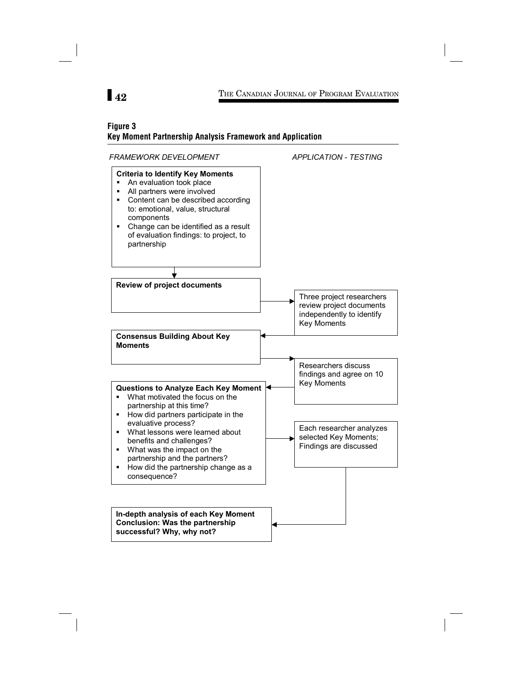## **Figure 3 Key Moment Partnership Analysis Framework and Application**

FRAMEWORK DEVELOPMENT APPLICATION - TESTING **Criteria to Identify Key Moments** • An evaluation took place All partners were involved • Content can be described according to: emotional, value, structural components  $\blacksquare$  Change can be identified as a result of evaluation findings: to project, to partnership **Review of project documents Consensus Building About Key Moments** Questions to Analyze Each Key Moment . What motivated the focus on the partnership at this time? • How did partners participate in the evaluative process? What lessons were learned about benefits and challenges? **•** What was the impact on the partnership and the partners? • How did the partnership change as a consequence? Three project researchers review project documents independently to identify Key Moments Researchers discuss findings and agree on 10 Key Moments Each researcher analyzes selected Key Moments; Findings are discussed In-depth analysis of each Key Moment **Conclusion: Was the partnership** successful? Why, why not?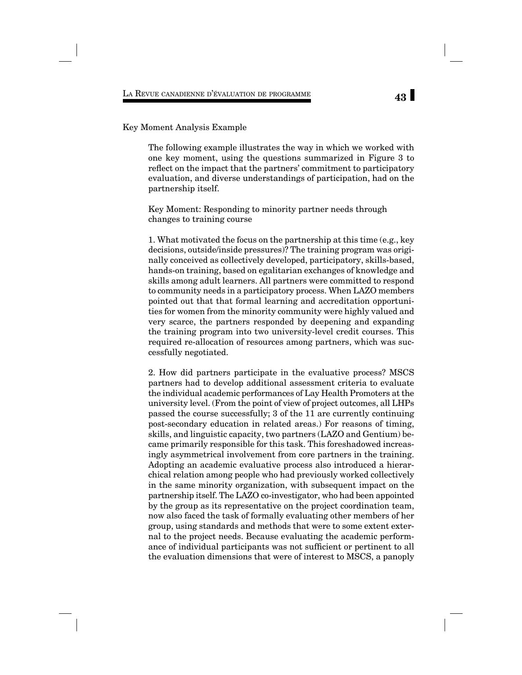#### Key Moment Analysis Example

The following example illustrates the way in which we worked with one key moment, using the questions summarized in Figure 3 to reflect on the impact that the partners' commitment to participatory evaluation, and diverse understandings of participation, had on the partnership itself.

Key Moment: Responding to minority partner needs through changes to training course

1. What motivated the focus on the partnership at this time (e.g., key decisions, outside/inside pressures)? The training program was originally conceived as collectively developed, participatory, skills-based, hands-on training, based on egalitarian exchanges of knowledge and skills among adult learners. All partners were committed to respond to community needs in a participatory process. When LAZO members pointed out that that formal learning and accreditation opportunities for women from the minority community were highly valued and very scarce, the partners responded by deepening and expanding the training program into two university-level credit courses. This required re-allocation of resources among partners, which was successfully negotiated.

2. How did partners participate in the evaluative process? MSCS partners had to develop additional assessment criteria to evaluate the individual academic performances of Lay Health Promoters at the university level. (From the point of view of project outcomes, all LHPs passed the course successfully; 3 of the 11 are currently continuing post-secondary education in related areas.) For reasons of timing, skills, and linguistic capacity, two partners (LAZO and Gentium) became primarily responsible for this task. This foreshadowed increasingly asymmetrical involvement from core partners in the training. Adopting an academic evaluative process also introduced a hierarchical relation among people who had previously worked collectively in the same minority organization, with subsequent impact on the partnership itself. The LAZO co-investigator, who had been appointed by the group as its representative on the project coordination team, now also faced the task of formally evaluating other members of her group, using standards and methods that were to some extent external to the project needs. Because evaluating the academic performance of individual participants was not sufficient or pertinent to all the evaluation dimensions that were of interest to MSCS, a panoply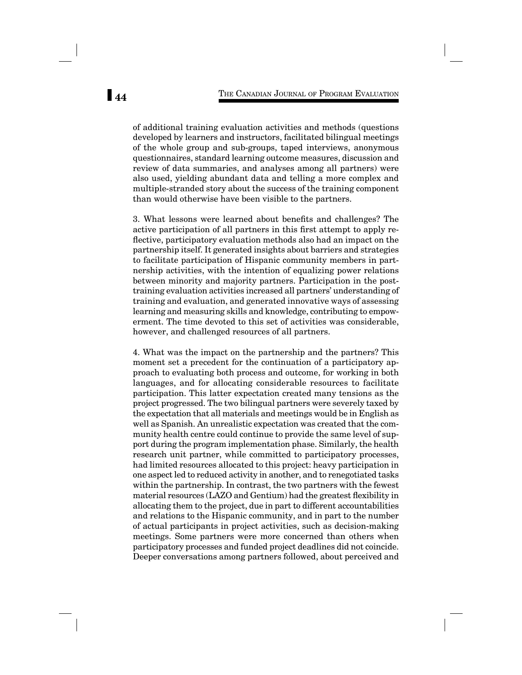of additional training evaluation activities and methods (questions developed by learners and instructors, facilitated bilingual meetings of the whole group and sub-groups, taped interviews, anonymous questionnaires, standard learning outcome measures, discussion and review of data summaries, and analyses among all partners) were also used, yielding abundant data and telling a more complex and multiple-stranded story about the success of the training component than would otherwise have been visible to the partners.

3. What lessons were learned about benefits and challenges? The active participation of all partners in this first attempt to apply reflective, participatory evaluation methods also had an impact on the partnership itself. It generated insights about barriers and strategies to facilitate participation of Hispanic community members in partnership activities, with the intention of equalizing power relations between minority and majority partners. Participation in the posttraining evaluation activities increased all partners' understanding of training and evaluation, and generated innovative ways of assessing learning and measuring skills and knowledge, contributing to empowerment. The time devoted to this set of activities was considerable, however, and challenged resources of all partners.

4. What was the impact on the partnership and the partners? This moment set a precedent for the continuation of a participatory approach to evaluating both process and outcome, for working in both languages, and for allocating considerable resources to facilitate participation. This latter expectation created many tensions as the project progressed. The two bilingual partners were severely taxed by the expectation that all materials and meetings would be in English as well as Spanish. An unrealistic expectation was created that the community health centre could continue to provide the same level of support during the program implementation phase. Similarly, the health research unit partner, while committed to participatory processes, had limited resources allocated to this project: heavy participation in one aspect led to reduced activity in another, and to renegotiated tasks within the partnership. In contrast, the two partners with the fewest material resources (LAZO and Gentium) had the greatest flexibility in allocating them to the project, due in part to different accountabilities and relations to the Hispanic community, and in part to the number of actual participants in project activities, such as decision-making meetings. Some partners were more concerned than others when participatory processes and funded project deadlines did not coincide. Deeper conversations among partners followed, about perceived and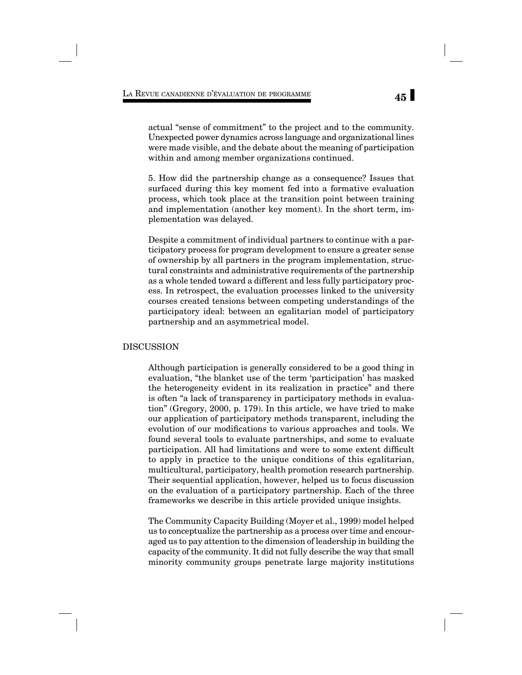actual "sense of commitment" to the project and to the community. Unexpected power dynamics across language and organizational lines were made visible, and the debate about the meaning of participation within and among member organizations continued.

5. How did the partnership change as a consequence? Issues that surfaced during this key moment fed into a formative evaluation process, which took place at the transition point between training and implementation (another key moment). In the short term, implementation was delayed.

Despite a commitment of individual partners to continue with a participatory process for program development to ensure a greater sense of ownership by all partners in the program implementation, structural constraints and administrative requirements of the partnership as a whole tended toward a different and less fully participatory process. In retrospect, the evaluation processes linked to the university courses created tensions between competing understandings of the participatory ideal: between an egalitarian model of participatory partnership and an asymmetrical model.

## DISCUSSION

Although participation is generally considered to be a good thing in evaluation, "the blanket use of the term 'participation' has masked the heterogeneity evident in its realization in practice" and there is often "a lack of transparency in participatory methods in evaluation" (Gregory, 2000, p. 179). In this article, we have tried to make our application of participatory methods transparent, including the evolution of our modifications to various approaches and tools. We found several tools to evaluate partnerships, and some to evaluate participation. All had limitations and were to some extent difficult to apply in practice to the unique conditions of this egalitarian, multicultural, participatory, health promotion research partnership. Their sequential application, however, helped us to focus discussion on the evaluation of a participatory partnership. Each of the three frameworks we describe in this article provided unique insights.

The Community Capacity Building (Moyer et al., 1999) model helped us to conceptualize the partnership as a process over time and encouraged us to pay attention to the dimension of leadership in building the capacity of the community. It did not fully describe the way that small minority community groups penetrate large majority institutions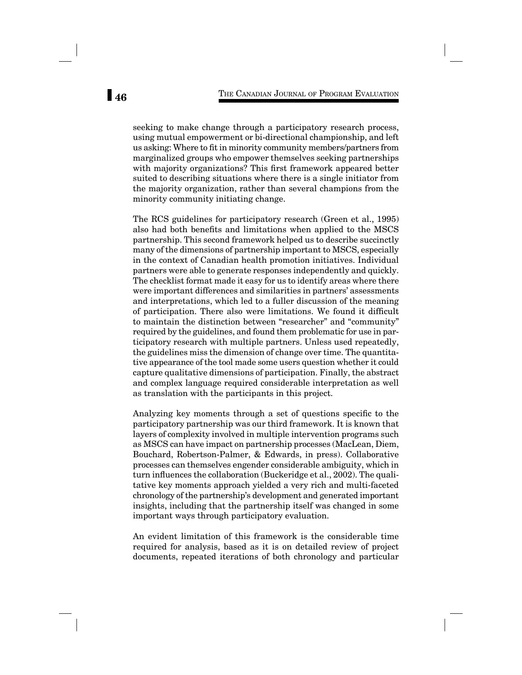seeking to make change through a participatory research process, using mutual empowerment or bi-directional championship, and left us asking: Where to fit in minority community members/partners from marginalized groups who empower themselves seeking partnerships with majority organizations? This first framework appeared better suited to describing situations where there is a single initiator from the majority organization, rather than several champions from the minority community initiating change.

The RCS guidelines for participatory research (Green et al., 1995) also had both benefits and limitations when applied to the MSCS partnership. This second framework helped us to describe succinctly many of the dimensions of partnership important to MSCS, especially in the context of Canadian health promotion initiatives. Individual partners were able to generate responses independently and quickly. The checklist format made it easy for us to identify areas where there were important differences and similarities in partners' assessments and interpretations, which led to a fuller discussion of the meaning of participation. There also were limitations. We found it difficult to maintain the distinction between "researcher" and "community" required by the guidelines, and found them problematic for use in participatory research with multiple partners. Unless used repeatedly, the guidelines miss the dimension of change over time. The quantitative appearance of the tool made some users question whether it could capture qualitative dimensions of participation. Finally, the abstract and complex language required considerable interpretation as well as translation with the participants in this project.

Analyzing key moments through a set of questions specific to the participatory partnership was our third framework. It is known that layers of complexity involved in multiple intervention programs such as MSCS can have impact on partnership processes (MacLean, Diem, Bouchard, Robertson-Palmer, & Edwards, in press). Collaborative processes can themselves engender considerable ambiguity, which in turn influences the collaboration (Buckeridge et al., 2002). The qualitative key moments approach yielded a very rich and multi-faceted chronology of the partnership's development and generated important insights, including that the partnership itself was changed in some important ways through participatory evaluation.

An evident limitation of this framework is the considerable time required for analysis, based as it is on detailed review of project documents, repeated iterations of both chronology and particular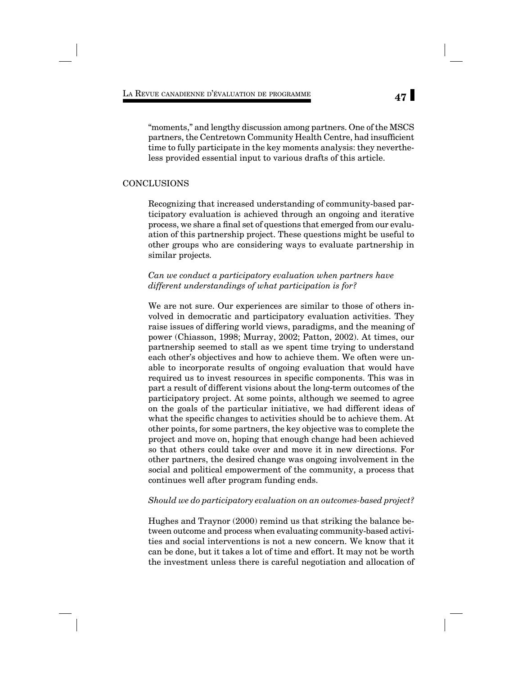"moments," and lengthy discussion among partners. One of the MSCS partners, the Centretown Community Health Centre, had insufficient time to fully participate in the key moments analysis: they nevertheless provided essential input to various drafts of this article.

#### CONCLUSIONS

Recognizing that increased understanding of community-based participatory evaluation is achieved through an ongoing and iterative process, we share a final set of questions that emerged from our evaluation of this partnership project. These questions might be useful to other groups who are considering ways to evaluate partnership in similar projects*.*

*Can we conduct a participatory evaluation when partners have different understandings of what participation is for?* 

We are not sure. Our experiences are similar to those of others involved in democratic and participatory evaluation activities. They raise issues of differing world views, paradigms, and the meaning of power (Chiasson, 1998; Murray, 2002; Patton, 2002). At times, our partnership seemed to stall as we spent time trying to understand each other's objectives and how to achieve them. We often were unable to incorporate results of ongoing evaluation that would have required us to invest resources in specific components. This was in part a result of different visions about the long-term outcomes of the participatory project. At some points, although we seemed to agree on the goals of the particular initiative, we had different ideas of what the specific changes to activities should be to achieve them. At other points, for some partners, the key objective was to complete the project and move on, hoping that enough change had been achieved so that others could take over and move it in new directions. For other partners, the desired change was ongoing involvement in the social and political empowerment of the community, a process that continues well after program funding ends.

#### *Should we do participatory evaluation on an outcomes-based project?*

Hughes and Traynor (2000) remind us that striking the balance between outcome and process when evaluating community-based activities and social interventions is not a new concern. We know that it can be done, but it takes a lot of time and effort. It may not be worth the investment unless there is careful negotiation and allocation of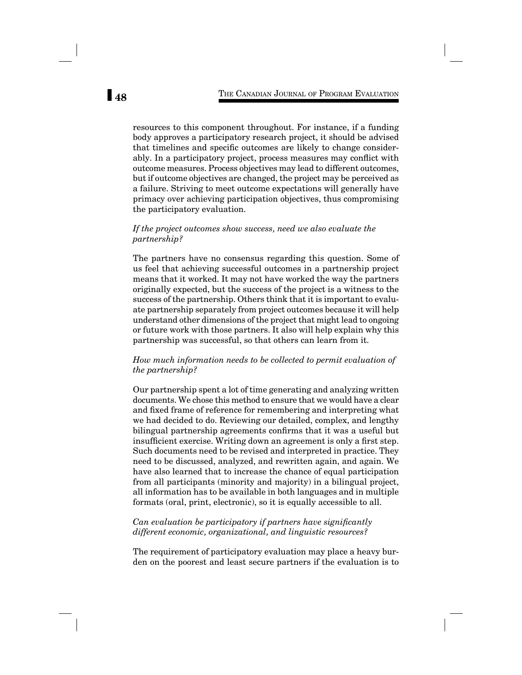resources to this component throughout. For instance, if a funding body approves a participatory research project, it should be advised that timelines and specific outcomes are likely to change considerably. In a participatory project, process measures may conflict with outcome measures. Process objectives may lead to different outcomes, but if outcome objectives are changed, the project may be perceived as a failure. Striving to meet outcome expectations will generally have primacy over achieving participation objectives, thus compromising the participatory evaluation.

#### *If the project outcomes show success, need we also evaluate the partnership?*

The partners have no consensus regarding this question. Some of us feel that achieving successful outcomes in a partnership project means that it worked. It may not have worked the way the partners originally expected, but the success of the project is a witness to the success of the partnership. Others think that it is important to evaluate partnership separately from project outcomes because it will help understand other dimensions of the project that might lead to ongoing or future work with those partners. It also will help explain why this partnership was successful, so that others can learn from it.

#### *How much information needs to be collected to permit evaluation of the partnership?*

Our partnership spent a lot of time generating and analyzing written documents. We chose this method to ensure that we would have a clear and fixed frame of reference for remembering and interpreting what we had decided to do. Reviewing our detailed, complex, and lengthy bilingual partnership agreements confirms that it was a useful but insufficient exercise. Writing down an agreement is only a first step. Such documents need to be revised and interpreted in practice. They need to be discussed, analyzed, and rewritten again, and again. We have also learned that to increase the chance of equal participation from all participants (minority and majority) in a bilingual project, all information has to be available in both languages and in multiple formats (oral, print, electronic), so it is equally accessible to all.

## *Can evaluation be participatory if partners have significantly different economic, organizational, and linguistic resources?*

The requirement of participatory evaluation may place a heavy burden on the poorest and least secure partners if the evaluation is to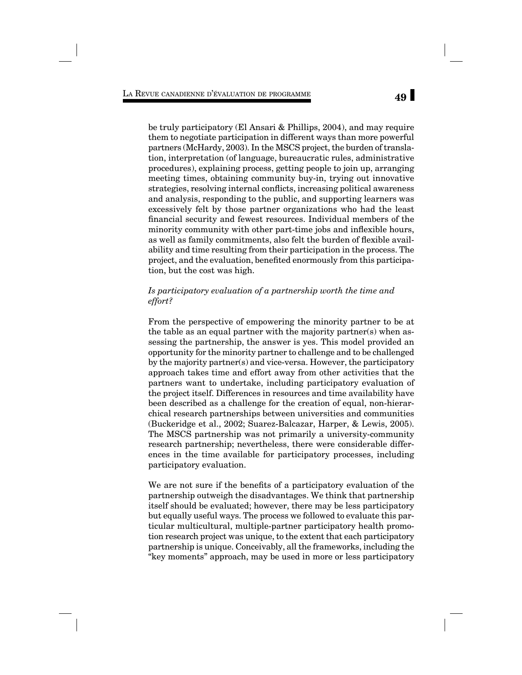be truly participatory (El Ansari & Phillips, 2004), and may require them to negotiate participation in different ways than more powerful partners (McHardy, 2003). In the MSCS project, the burden of translation, interpretation (of language, bureaucratic rules, administrative procedures), explaining process, getting people to join up, arranging meeting times, obtaining community buy-in, trying out innovative strategies, resolving internal conflicts, increasing political awareness and analysis, responding to the public, and supporting learners was excessively felt by those partner organizations who had the least financial security and fewest resources. Individual members of the minority community with other part-time jobs and inflexible hours, as well as family commitments, also felt the burden of flexible availability and time resulting from their participation in the process. The project, and the evaluation, benefited enormously from this participation, but the cost was high.

## *Is participatory evaluation of a partnership worth the time and effort?*

From the perspective of empowering the minority partner to be at the table as an equal partner with the majority partner(s) when assessing the partnership, the answer is yes. This model provided an opportunity for the minority partner to challenge and to be challenged by the majority partner(s) and vice-versa. However, the participatory approach takes time and effort away from other activities that the partners want to undertake, including participatory evaluation of the project itself. Differences in resources and time availability have been described as a challenge for the creation of equal, non-hierarchical research partnerships between universities and communities (Buckeridge et al., 2002; Suarez-Balcazar, Harper, & Lewis, 2005). The MSCS partnership was not primarily a university-community research partnership; nevertheless, there were considerable differences in the time available for participatory processes, including participatory evaluation.

We are not sure if the benefits of a participatory evaluation of the partnership outweigh the disadvantages. We think that partnership itself should be evaluated; however, there may be less participatory but equally useful ways. The process we followed to evaluate this particular multicultural, multiple-partner participatory health promotion research project was unique, to the extent that each participatory partnership is unique. Conceivably, all the frameworks, including the "key moments" approach, may be used in more or less participatory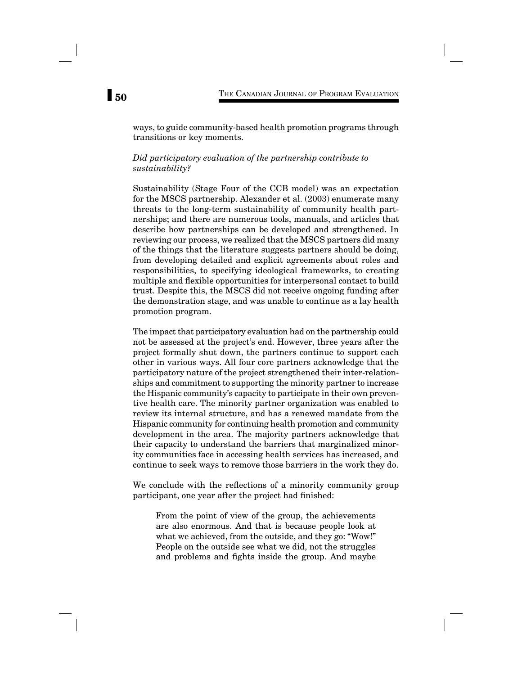ways, to guide community-based health promotion programs through transitions or key moments.

#### *Did participatory evaluation of the partnership contribute to sustainability?*

Sustainability (Stage Four of the CCB model) was an expectation for the MSCS partnership. Alexander et al. (2003) enumerate many threats to the long-term sustainability of community health partnerships; and there are numerous tools, manuals, and articles that describe how partnerships can be developed and strengthened. In reviewing our process, we realized that the MSCS partners did many of the things that the literature suggests partners should be doing, from developing detailed and explicit agreements about roles and responsibilities, to specifying ideological frameworks, to creating multiple and flexible opportunities for interpersonal contact to build trust. Despite this, the MSCS did not receive ongoing funding after the demonstration stage, and was unable to continue as a lay health promotion program.

The impact that participatory evaluation had on the partnership could not be assessed at the project's end. However, three years after the project formally shut down, the partners continue to support each other in various ways. All four core partners acknowledge that the participatory nature of the project strengthened their inter-relationships and commitment to supporting the minority partner to increase the Hispanic community's capacity to participate in their own preventive health care. The minority partner organization was enabled to review its internal structure, and has a renewed mandate from the Hispanic community for continuing health promotion and community development in the area. The majority partners acknowledge that their capacity to understand the barriers that marginalized minority communities face in accessing health services has increased, and continue to seek ways to remove those barriers in the work they do.

We conclude with the reflections of a minority community group participant, one year after the project had finished:

From the point of view of the group, the achievements are also enormous. And that is because people look at what we achieved, from the outside, and they go: "Wow!" People on the outside see what we did, not the struggles and problems and fights inside the group. And maybe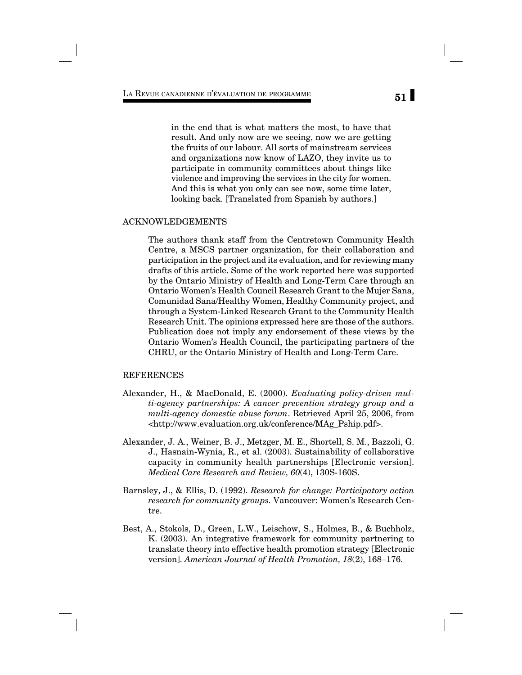in the end that is what matters the most, to have that result. And only now are we seeing, now we are getting the fruits of our labour. All sorts of mainstream services and organizations now know of LAZO, they invite us to participate in community committees about things like violence and improving the services in the city for women. And this is what you only can see now, some time later, looking back. [Translated from Spanish by authors.]

#### ACKNOWLEDGEMENTS

The authors thank staff from the Centretown Community Health Centre, a MSCS partner organization, for their collaboration and participation in the project and its evaluation, and for reviewing many drafts of this article. Some of the work reported here was supported by the Ontario Ministry of Health and Long-Term Care through an Ontario Women's Health Council Research Grant to the Mujer Sana, Comunidad Sana/Healthy Women, Healthy Community project, and through a System-Linked Research Grant to the Community Health Research Unit. The opinions expressed here are those of the authors. Publication does not imply any endorsement of these views by the Ontario Women's Health Council, the participating partners of the CHRU, or the Ontario Ministry of Health and Long-Term Care.

#### REFERENCES

- Alexander, H., & MacDonald, E. (2000). *Evaluating policy-driven multi-agency partnerships: A cancer prevention strategy group and a multi-agency domestic abuse forum*. Retrieved April 25, 2006, from <http://www.evaluation.org.uk/conference/MAg\_Pship.pdf>.
- Alexander, J. A., Weiner, B. J., Metzger, M. E., Shortell, S. M., Bazzoli, G. J., Hasnain-Wynia, R., et al. (2003). Sustainability of collaborative capacity in community health partnerships [Electronic version]. *Medical Care Research and Review, 60*(4), 130S-160S.
- Barnsley, J., & Ellis, D. (1992). *Research for change: Participatory action research for community groups.* Vancouver: Women's Research Centre.
- Best, A., Stokols, D., Green, L.W., Leischow, S., Holmes, B., & Buchholz, K. (2003). An integrative framework for community partnering to translate theory into effective health promotion strategy [Electronic version]. *American Journal of Health Promotion, 18*(2), 168–176.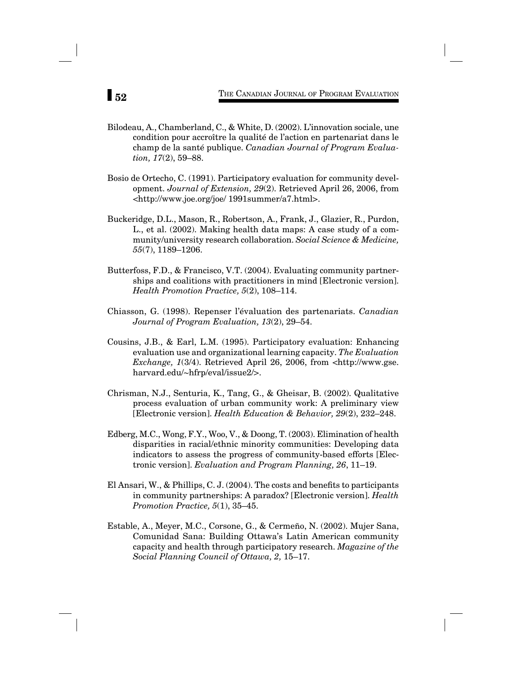- Bilodeau, A., Chamberland, C., & White, D. (2002). L'innovation sociale, une condition pour accroître la qualité de l'action en partenariat dans le champ de la santé publique. *Canadian Journal of Program Evaluation, 17*(2), 59–88.
- Bosio de Ortecho, C. (1991). Participatory evaluation for community development. *Journal of Extension, 29*(2). Retrieved April 26, 2006, from <http://www.joe.org/joe/ 1991summer/a7.html>.
- Buckeridge, D.L., Mason, R., Robertson, A., Frank, J., Glazier, R., Purdon, L., et al. (2002). Making health data maps: A case study of a community/university research collaboration. *Social Science & Medicine, 55*(7), 1189–1206.
- Butterfoss, F.D., & Francisco, V.T. (2004). Evaluating community partnerships and coalitions with practitioners in mind [Electronic version]. *Health Promotion Practice, 5*(2), 108–114.
- Chiasson, G. (1998). Repenser l'évaluation des partenariats. *Canadian Journal of Program Evaluation, 13*(2), 29–54.
- Cousins, J.B., & Earl, L.M. (1995). Participatory evaluation: Enhancing evaluation use and organizational learning capacity. *The Evaluation Exchange, 1*(3/4). Retrieved April 26, 2006, from <http://www.gse. harvard.edu/~hfrp/eval/issue2/>.
- Chrisman, N.J., Senturia, K., Tang, G., & Gheisar, B. (2002). Qualitative process evaluation of urban community work: A preliminary view [Electronic version]. *Health Education & Behavior, 29*(2), 232–248.
- Edberg, M.C., Wong, F.Y., Woo, V., & Doong, T. (2003). Elimination of health disparities in racial/ethnic minority communities: Developing data indicators to assess the progress of community-based efforts [Electronic version]. *Evaluation and Program Planning, 26*, 11–19.
- El Ansari, W., & Phillips, C. J.  $(2004)$ . The costs and benefits to participants in community partnerships: A paradox? [Electronic version]. *Health Promotion Practice, 5*(1), 35–45.
- Estable, A., Meyer, M.C., Corsone, G., & Cermeño, N. (2002). Mujer Sana, Comunidad Sana: Building Ottawa's Latin American community capacity and health through participatory research. *Magazine of the Social Planning Council of Ottawa, 2,* 15–17.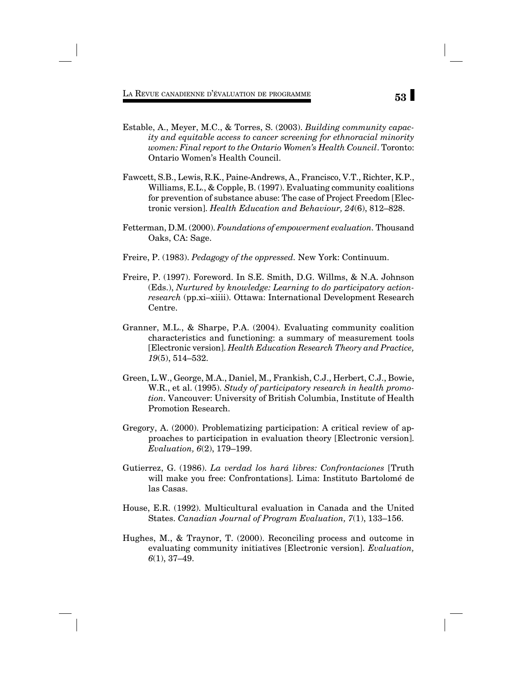- Estable, A., Meyer, M.C., & Torres, S. (2003). *Building community capacity and equitable access to cancer screening for ethnoracial minority women: Final report to the Ontario Women's Health Council*. Toronto: Ontario Women's Health Council.
- Fawcett, S.B., Lewis, R.K., Paine-Andrews, A., Francisco, V.T., Richter, K.P., Williams, E.L., & Copple, B. (1997). Evaluating community coalitions for prevention of substance abuse: The case of Project Freedom [Electronic version]. *Health Education and Behaviour, 24*(6), 812–828.
- Fetterman, D.M. (2000). *Foundations of empowerment evaluation.* Thousand Oaks, CA: Sage.
- Freire, P. (1983). *Pedagogy of the oppressed.* New York: Continuum.
- Freire, P. (1997). Foreword. In S.E. Smith, D.G. Willms, & N.A. Johnson (Eds.), *Nurtured by knowledge: Learning to do participatory actionresearch* (pp.xi–xiiii). Ottawa: International Development Research Centre.
- Granner, M.L., & Sharpe, P.A. (2004). Evaluating community coalition characteristics and functioning: a summary of measurement tools [Electronic version]. *Health Education Research Theory and Practice, 19*(5), 514–532.
- Green, L.W., George, M.A., Daniel, M., Frankish, C.J., Herbert, C.J., Bowie, W.R., et al. (1995). *Study of participatory research in health promotion.* Vancouver: University of British Columbia, Institute of Health Promotion Research.
- Gregory, A. (2000). Problematizing participation: A critical review of approaches to participation in evaluation theory [Electronic version]. *Evaluation, 6*(2), 179–199.
- Gutierrez, G. (1986). *La verdad los hará libres: Confrontaciones* [Truth will make you free: Confrontations]. Lima: Instituto Bartolomé de las Casas.
- House, E.R. (1992). Multicultural evaluation in Canada and the United States. *Canadian Journal of Program Evaluation, 7*(1), 133–156.
- Hughes, M., & Traynor, T. (2000). Reconciling process and outcome in evaluating community initiatives [Electronic version]. *Evaluation, 6*(1), 37–49.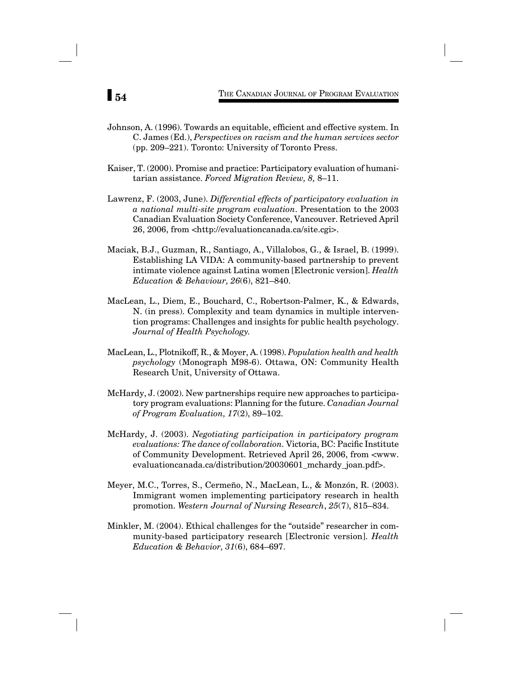- Johnson, A. (1996). Towards an equitable, efficient and effective system. In C. James (Ed.), *Perspectives on racism and the human services sector* (pp. 209–221). Toronto: University of Toronto Press.
- Kaiser, T. (2000). Promise and practice: Participatory evaluation of humanitarian assistance. *Forced Migration Review, 8,* 8–11.
- Lawrenz, F. (2003, June). *Differential effects of participatory evaluation in a national multi-site program evaluation*. Presentation to the 2003 Canadian Evaluation Society Conference, Vancouver. Retrieved April 26, 2006, from <http://evaluationcanada.ca/site.cgi>.
- Maciak, B.J., Guzman, R., Santiago, A., Villalobos, G., & Israel, B. (1999). Establishing LA VIDA: A community-based partnership to prevent intimate violence against Latina women [Electronic version]. *Health Education & Behaviour, 26*(6), 821–840.
- MacLean, L., Diem, E., Bouchard, C., Robertson-Palmer, K., & Edwards, N. (in press). Complexity and team dynamics in multiple intervention programs: Challenges and insights for public health psychology. *Journal of Health Psychology.*
- MacLean, L., Plotnikoff, R., & Moyer, A. (1998). *Population health and health psychology* (Monograph M98-6). Ottawa, ON: Community Health Research Unit, University of Ottawa.
- McHardy, J. (2002). New partnerships require new approaches to participatory program evaluations: Planning for the future. *Canadian Journal of Program Evaluation, 17*(2), 89–102.
- McHardy, J. (2003). *Negotiating participation in participatory program evaluations: The dance of collaboration.* Victoria, BC: Pacific Institute of Community Development. Retrieved April 26, 2006, from <www. evaluationcanada.ca/distribution/20030601\_mchardy\_joan.pdf>.
- Meyer, M.C., Torres, S., Cermeño, N., MacLean, L., & Monzón, R. (2003). Immigrant women implementing participatory research in health promotion. *Western Journal of Nursing Research*, *25*(7), 815–834.
- Minkler, M. (2004). Ethical challenges for the "outside" researcher in community-based participatory research [Electronic version]. *Health Education & Behavior, 31*(6), 684–697.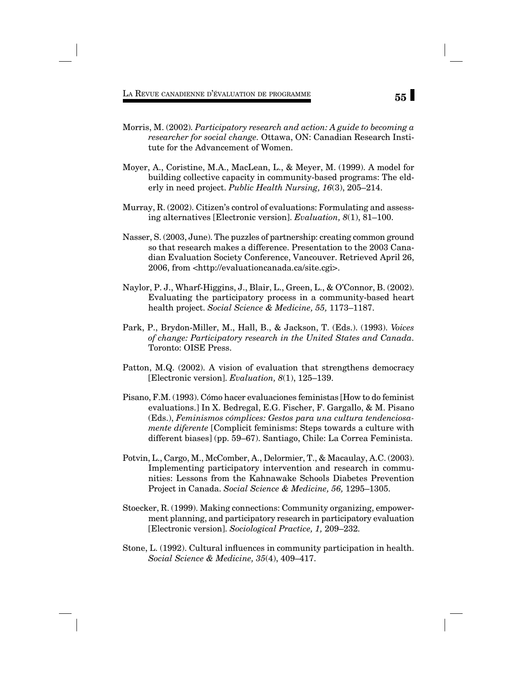**55** LA REVUE CANADIENNE D'ÉVALUATION DE PROGRAMME

- Morris, M. (2002)*. Participatory research and action: A guide to becoming a researcher for social change.* Ottawa, ON: Canadian Research Institute for the Advancement of Women.
- Moyer, A., Coristine, M.A., MacLean, L., & Meyer, M. (1999). A model for building collective capacity in community-based programs: The elderly in need project. *Public Health Nursing, 16*(3), 205–214.
- Murray, R. (2002). Citizen's control of evaluations: Formulating and assessing alternatives [Electronic version]. *Evaluation, 8*(1), 81–100.
- Nasser, S. (2003, June). The puzzles of partnership: creating common ground so that research makes a difference. Presentation to the 2003 Canadian Evaluation Society Conference, Vancouver. Retrieved April 26, 2006, from <http://evaluationcanada.ca/site.cgi>.
- Naylor, P. J., Wharf-Higgins, J., Blair, L., Green, L., & O'Connor, B. (2002). Evaluating the participatory process in a community-based heart health project. *Social Science & Medicine, 55,* 1173–1187.
- Park, P., Brydon-Miller, M., Hall, B., & Jackson, T. (Eds.). (1993). *Voices of change: Participatory research in the United States and Canada.* Toronto: OISE Press.
- Patton, M.Q. (2002). A vision of evaluation that strengthens democracy [Electronic version]. *Evaluation, 8*(1), 125–139.
- Pisano, F.M. (1993). Cómo hacer evaluaciones feministas [How to do feminist evaluations.] In X. Bedregal, E.G. Fischer, F. Gargallo, & M. Pisano (Eds.), *Feminismos cómplices: Gestos para una cultura tendenciosamente diferente* [Complicit feminisms: Steps towards a culture with different biases] (pp. 59–67). Santiago, Chile: La Correa Feminista.
- Potvin, L., Cargo, M., McComber, A., Delormier, T., & Macaulay, A.C. (2003). Implementing participatory intervention and research in communities: Lessons from the Kahnawake Schools Diabetes Prevention Project in Canada. *Social Science & Medicine, 56,* 1295–1305*.*
- Stoecker, R. (1999). Making connections: Community organizing, empowerment planning, and participatory research in participatory evaluation [Electronic version]. *Sociological Practice, 1,* 209–232*.*
- Stone, L. (1992). Cultural influences in community participation in health. *Social Science & Medicine, 35*(4), 409–417.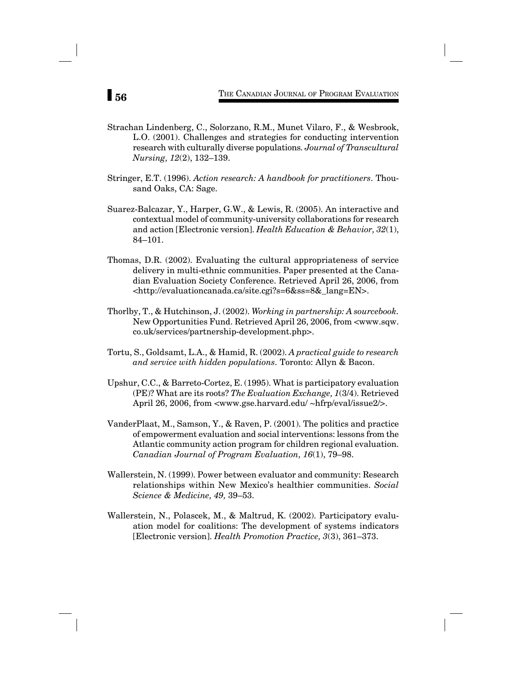- Strachan Lindenberg, C., Solorzano, R.M., Munet Vilaro, F., & Wesbrook, L.O. (2001). Challenges and strategies for conducting intervention research with culturally diverse populations*. Journal of Transcultural Nursing, 12*(2), 132–139.
- Stringer, E.T. (1996). *Action research: A handbook for practitioners.* Thousand Oaks, CA: Sage.
- Suarez-Balcazar, Y., Harper, G.W., & Lewis, R. (2005). An interactive and contextual model of community-university collaborations for research and action [Electronic version]. *Health Education & Behavior, 32*(1), 84–101.
- Thomas, D.R. (2002). Evaluating the cultural appropriateness of service delivery in multi-ethnic communities. Paper presented at the Canadian Evaluation Society Conference. Retrieved April 26, 2006, from <http://evaluationcanada.ca/site.cgi?s=6&ss=8&\_lang=EN>.
- Thorlby, T., & Hutchinson, J. (2002). *Working in partnership: A sourcebook.* New Opportunities Fund. Retrieved April 26, 2006, from <www.sqw. co.uk/services/partnership-development.php>.
- Tortu, S., Goldsamt, L.A., & Hamid, R. (2002). *A practical guide to research and service with hidden populations.* Toronto: Allyn & Bacon.
- Upshur, C.C., & Barreto-Cortez, E. (1995). What is participatory evaluation (PE)? What are its roots? *The Evaluation Exchange, 1*(3/4). Retrieved April 26, 2006, from <www.gse.harvard.edu/ ~hfrp/eval/issue2/>.
- VanderPlaat, M., Samson, Y., & Raven, P. (2001). The politics and practice of empowerment evaluation and social interventions: lessons from the Atlantic community action program for children regional evaluation. *Canadian Journal of Program Evaluation, 16*(1), 79–98.
- Wallerstein, N. (1999). Power between evaluator and community: Research relationships within New Mexico's healthier communities. *Social Science & Medicine, 49,* 39–53.
- Wallerstein, N., Polascek, M., & Maltrud, K. (2002). Participatory evaluation model for coalitions: The development of systems indicators [Electronic version]. *Health Promotion Practice, 3*(3), 361–373.